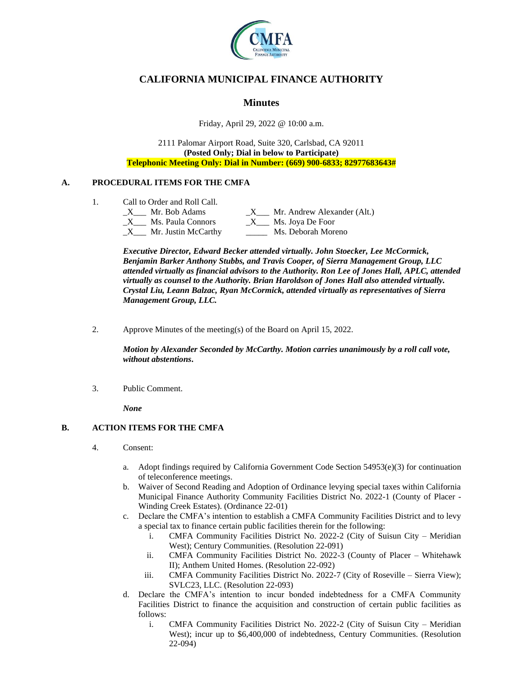

# **CALIFORNIA MUNICIPAL FINANCE AUTHORITY**

## **Minutes**

Friday, April 29, 2022 @ 10:00 a.m.

2111 Palomar Airport Road, Suite 320, Carlsbad, CA 92011 **(Posted Only; Dial in below to Participate) Telephonic Meeting Only: Dial in Number: (669) 900-6833; 82977683643#**

## **A. PROCEDURAL ITEMS FOR THE CMFA**

1. Call to Order and Roll Call.

|              | Mr. Bob Adams       | Mr. Andrew Alexander (Alt.) |
|--------------|---------------------|-----------------------------|
|              | Ms. Paula Connors   | Ms. Joya De Foor            |
| $\mathbf{X}$ | Mr. Justin McCarthy | Ms. Deborah Moreno          |

*Executive Director, Edward Becker attended virtually. John Stoecker, Lee McCormick, Benjamin Barker Anthony Stubbs, and Travis Cooper, of Sierra Management Group, LLC attended virtually as financial advisors to the Authority. Ron Lee of Jones Hall, APLC, attended virtually as counsel to the Authority. Brian Haroldson of Jones Hall also attended virtually. Crystal Liu, Leann Balzac, Ryan McCormick, attended virtually as representatives of Sierra Management Group, LLC.*

2. Approve Minutes of the meeting(s) of the Board on April 15, 2022.

*Motion by Alexander Seconded by McCarthy. Motion carries unanimously by a roll call vote, without abstentions***.**

3. Public Comment.

*None*

## **B. ACTION ITEMS FOR THE CMFA**

- 4. Consent:
	- a. Adopt findings required by California Government Code Section 54953(e)(3) for continuation of teleconference meetings.
	- b. Waiver of Second Reading and Adoption of Ordinance levying special taxes within California Municipal Finance Authority Community Facilities District No. 2022-1 (County of Placer - Winding Creek Estates). (Ordinance 22-01)
	- c. Declare the CMFA's intention to establish a CMFA Community Facilities District and to levy a special tax to finance certain public facilities therein for the following:
		- i. CMFA Community Facilities District No. 2022-2 (City of Suisun City Meridian West); Century Communities. (Resolution 22-091)
		- ii. CMFA Community Facilities District No. 2022-3 (County of Placer Whitehawk II); Anthem United Homes. (Resolution 22-092)
		- iii. CMFA Community Facilities District No. 2022-7 (City of Roseville Sierra View); SVLC23, LLC. (Resolution 22-093)
	- d. Declare the CMFA's intention to incur bonded indebtedness for a CMFA Community Facilities District to finance the acquisition and construction of certain public facilities as follows:
		- i. CMFA Community Facilities District No. 2022-2 (City of Suisun City Meridian West); incur up to \$6,400,000 of indebtedness, Century Communities. (Resolution 22-094)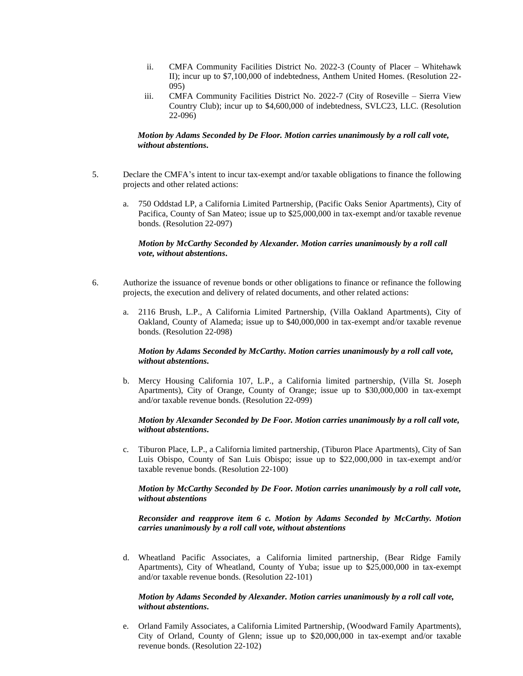- ii. CMFA Community Facilities District No. 2022-3 (County of Placer Whitehawk II); incur up to \$7,100,000 of indebtedness, Anthem United Homes. (Resolution 22- 095)
- iii. CMFA Community Facilities District No. 2022-7 (City of Roseville Sierra View Country Club); incur up to \$4,600,000 of indebtedness, SVLC23, LLC. (Resolution 22-096)

### *Motion by Adams Seconded by De Floor. Motion carries unanimously by a roll call vote, without abstentions***.**

- 5. Declare the CMFA's intent to incur tax-exempt and/or taxable obligations to finance the following projects and other related actions:
	- a. 750 Oddstad LP, a California Limited Partnership, (Pacific Oaks Senior Apartments), City of Pacifica, County of San Mateo; issue up to \$25,000,000 in tax-exempt and/or taxable revenue bonds. (Resolution 22-097)

### *Motion by McCarthy Seconded by Alexander. Motion carries unanimously by a roll call vote, without abstentions***.**

- 6. Authorize the issuance of revenue bonds or other obligations to finance or refinance the following projects, the execution and delivery of related documents, and other related actions:
	- a. 2116 Brush, L.P., A California Limited Partnership, (Villa Oakland Apartments), City of Oakland, County of Alameda; issue up to \$40,000,000 in tax-exempt and/or taxable revenue bonds. (Resolution 22-098)

#### *Motion by Adams Seconded by McCarthy. Motion carries unanimously by a roll call vote, without abstentions***.**

b. Mercy Housing California 107, L.P., a California limited partnership, (Villa St. Joseph Apartments), City of Orange, County of Orange; issue up to \$30,000,000 in tax-exempt and/or taxable revenue bonds. (Resolution 22-099)

#### *Motion by Alexander Seconded by De Foor. Motion carries unanimously by a roll call vote, without abstentions***.**

c. Tiburon Place, L.P., a California limited partnership, (Tiburon Place Apartments), City of San Luis Obispo, County of San Luis Obispo; issue up to \$22,000,000 in tax-exempt and/or taxable revenue bonds. (Resolution 22-100)

### *Motion by McCarthy Seconded by De Foor. Motion carries unanimously by a roll call vote, without abstentions*

*Reconsider and reapprove item 6 c. Motion by Adams Seconded by McCarthy. Motion carries unanimously by a roll call vote, without abstentions*

d. Wheatland Pacific Associates, a California limited partnership, (Bear Ridge Family Apartments), City of Wheatland, County of Yuba; issue up to \$25,000,000 in tax-exempt and/or taxable revenue bonds. (Resolution 22-101)

### *Motion by Adams Seconded by Alexander. Motion carries unanimously by a roll call vote, without abstentions***.**

e. Orland Family Associates, a California Limited Partnership, (Woodward Family Apartments), City of Orland, County of Glenn; issue up to \$20,000,000 in tax-exempt and/or taxable revenue bonds. (Resolution 22-102)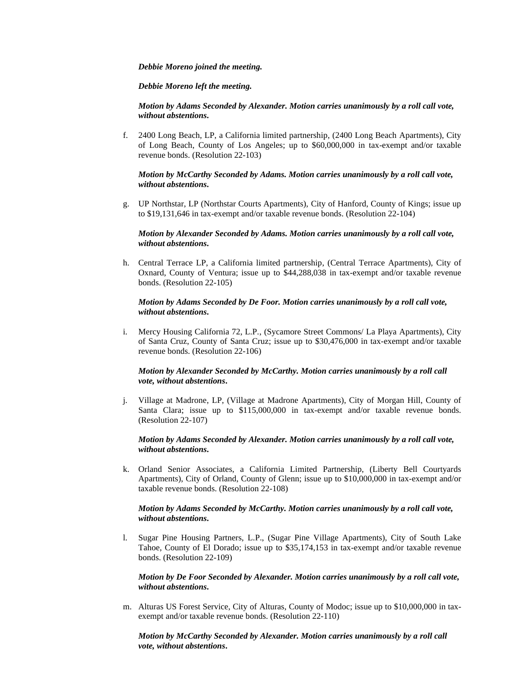#### *Debbie Moreno joined the meeting.*

*Debbie Moreno left the meeting.* 

*Motion by Adams Seconded by Alexander. Motion carries unanimously by a roll call vote, without abstentions***.**

f. 2400 Long Beach, LP, a California limited partnership, (2400 Long Beach Apartments), City of Long Beach, County of Los Angeles; up to \$60,000,000 in tax-exempt and/or taxable revenue bonds. (Resolution 22-103)

### *Motion by McCarthy Seconded by Adams. Motion carries unanimously by a roll call vote, without abstentions***.**

g. UP Northstar, LP (Northstar Courts Apartments), City of Hanford, County of Kings; issue up to \$19,131,646 in tax-exempt and/or taxable revenue bonds. (Resolution 22-104)

#### *Motion by Alexander Seconded by Adams. Motion carries unanimously by a roll call vote, without abstentions***.**

h. Central Terrace LP, a California limited partnership, (Central Terrace Apartments), City of Oxnard, County of Ventura; issue up to \$44,288,038 in tax-exempt and/or taxable revenue bonds. (Resolution 22-105)

#### *Motion by Adams Seconded by De Foor. Motion carries unanimously by a roll call vote, without abstentions***.**

i. Mercy Housing California 72, L.P., (Sycamore Street Commons/ La Playa Apartments), City of Santa Cruz, County of Santa Cruz; issue up to \$30,476,000 in tax-exempt and/or taxable revenue bonds. (Resolution 22-106)

#### *Motion by Alexander Seconded by McCarthy. Motion carries unanimously by a roll call vote, without abstentions***.**

j. Village at Madrone, LP, (Village at Madrone Apartments), City of Morgan Hill, County of Santa Clara; issue up to \$115,000,000 in tax-exempt and/or taxable revenue bonds. (Resolution 22-107)

### *Motion by Adams Seconded by Alexander. Motion carries unanimously by a roll call vote, without abstentions***.**

k. Orland Senior Associates, a California Limited Partnership, (Liberty Bell Courtyards Apartments), City of Orland, County of Glenn; issue up to \$10,000,000 in tax-exempt and/or taxable revenue bonds. (Resolution 22-108)

### *Motion by Adams Seconded by McCarthy. Motion carries unanimously by a roll call vote, without abstentions***.**

l. Sugar Pine Housing Partners, L.P., (Sugar Pine Village Apartments), City of South Lake Tahoe, County of El Dorado; issue up to \$35,174,153 in tax-exempt and/or taxable revenue bonds. (Resolution 22-109)

### *Motion by De Foor Seconded by Alexander. Motion carries unanimously by a roll call vote, without abstentions***.**

m. Alturas US Forest Service, City of Alturas, County of Modoc; issue up to \$10,000,000 in taxexempt and/or taxable revenue bonds. (Resolution 22-110)

### *Motion by McCarthy Seconded by Alexander. Motion carries unanimously by a roll call vote, without abstentions***.**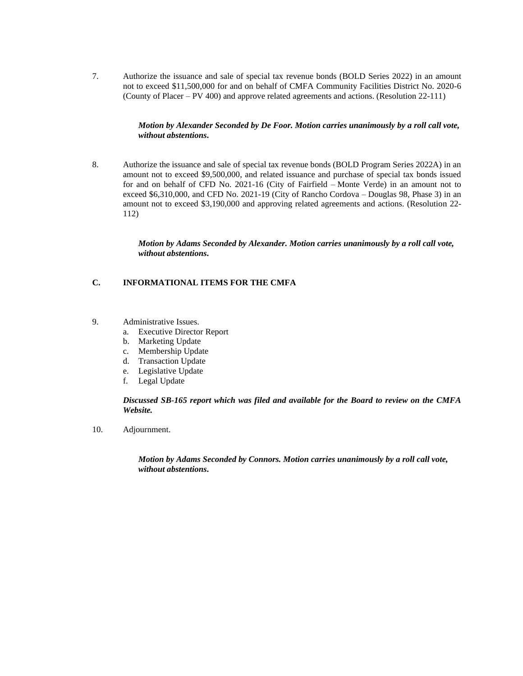7. Authorize the issuance and sale of special tax revenue bonds (BOLD Series 2022) in an amount not to exceed \$11,500,000 for and on behalf of CMFA Community Facilities District No. 2020-6 (County of Placer – PV 400) and approve related agreements and actions. (Resolution 22-111)

### *Motion by Alexander Seconded by De Foor. Motion carries unanimously by a roll call vote, without abstentions***.**

8. Authorize the issuance and sale of special tax revenue bonds (BOLD Program Series 2022A) in an amount not to exceed \$9,500,000, and related issuance and purchase of special tax bonds issued for and on behalf of CFD No. 2021-16 (City of Fairfield – Monte Verde) in an amount not to exceed \$6,310,000, and CFD No. 2021-19 (City of Rancho Cordova – Douglas 98, Phase 3) in an amount not to exceed \$3,190,000 and approving related agreements and actions. (Resolution 22- 112)

> *Motion by Adams Seconded by Alexander. Motion carries unanimously by a roll call vote, without abstentions***.**

## **C. INFORMATIONAL ITEMS FOR THE CMFA**

- 9. Administrative Issues.
	- a. Executive Director Report
	- b. Marketing Update
	- c. Membership Update
	- d. Transaction Update
	- e. Legislative Update
	- f. Legal Update

*Discussed SB-165 report which was filed and available for the Board to review on the CMFA Website.*

10. Adjournment.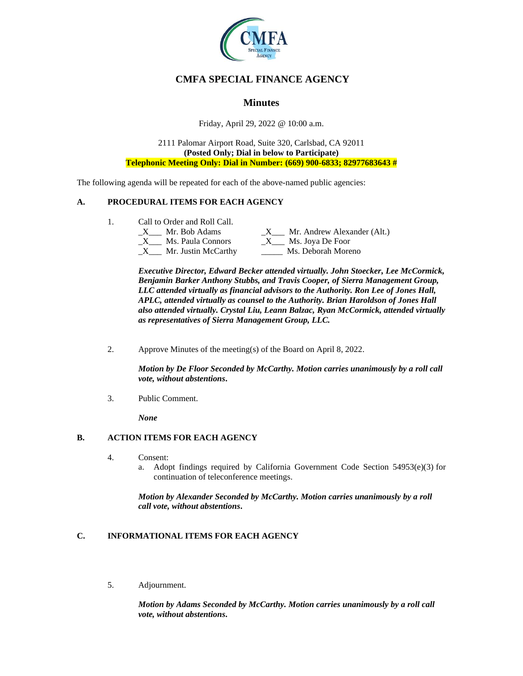

# **CMFA SPECIAL FINANCE AGENCY**

## **Minutes**

Friday, April 29, 2022 @ 10:00 a.m.

2111 Palomar Airport Road, Suite 320, Carlsbad, CA 92011 **(Posted Only; Dial in below to Participate) Telephonic Meeting Only: Dial in Number: (669) 900-6833; 82977683643 #**

The following agenda will be repeated for each of the above-named public agencies:

## **A. PROCEDURAL ITEMS FOR EACH AGENCY**

1. Call to Order and Roll Call.

| Mr. Bob Adams       | Mr. Andrew Alexander (Alt.) |
|---------------------|-----------------------------|
| Ms. Paula Connors   | Ms. Joya De Foor            |
| Mr. Justin McCarthy | Ms. Deborah Moreno          |

*Executive Director, Edward Becker attended virtually. John Stoecker, Lee McCormick, Benjamin Barker Anthony Stubbs, and Travis Cooper, of Sierra Management Group, LLC attended virtually as financial advisors to the Authority. Ron Lee of Jones Hall, APLC, attended virtually as counsel to the Authority. Brian Haroldson of Jones Hall also attended virtually. Crystal Liu, Leann Balzac, Ryan McCormick, attended virtually as representatives of Sierra Management Group, LLC.*

2. Approve Minutes of the meeting(s) of the Board on April 8, 2022.

*Motion by De Floor Seconded by McCarthy. Motion carries unanimously by a roll call vote, without abstentions***.**

3. Public Comment.

*None*

## **B. ACTION ITEMS FOR EACH AGENCY**

- 4. Consent:
	- a. Adopt findings required by California Government Code Section 54953(e)(3) for continuation of teleconference meetings.

*Motion by Alexander Seconded by McCarthy. Motion carries unanimously by a roll call vote, without abstentions***.**

# **C. INFORMATIONAL ITEMS FOR EACH AGENCY**

5. Adjournment.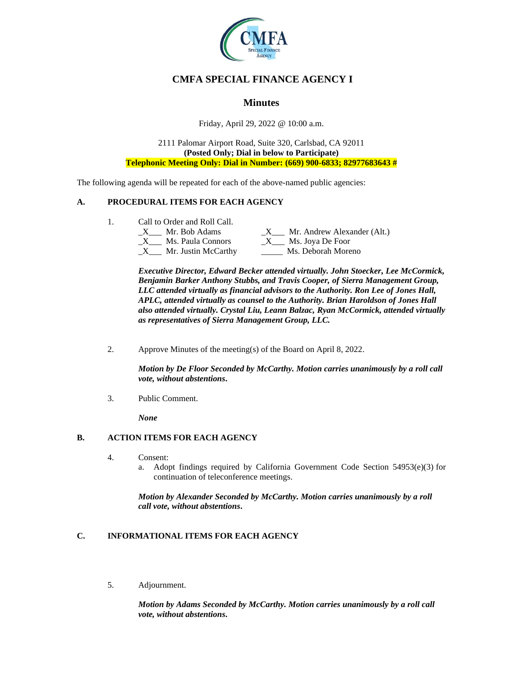

# **CMFA SPECIAL FINANCE AGENCY I**

# **Minutes**

Friday, April 29, 2022 @ 10:00 a.m.

2111 Palomar Airport Road, Suite 320, Carlsbad, CA 92011 **(Posted Only; Dial in below to Participate) Telephonic Meeting Only: Dial in Number: (669) 900-6833; 82977683643 #**

The following agenda will be repeated for each of the above-named public agencies:

## **A. PROCEDURAL ITEMS FOR EACH AGENCY**

1. Call to Order and Roll Call.

| Mr. Bob Adams       | Mr. Andrew Alexander (Alt.) |
|---------------------|-----------------------------|
| Ms. Paula Connors   | Ms. Joya De Foor            |
| Mr. Justin McCarthy | Ms. Deborah Moreno          |

*Executive Director, Edward Becker attended virtually. John Stoecker, Lee McCormick, Benjamin Barker Anthony Stubbs, and Travis Cooper, of Sierra Management Group, LLC attended virtually as financial advisors to the Authority. Ron Lee of Jones Hall, APLC, attended virtually as counsel to the Authority. Brian Haroldson of Jones Hall also attended virtually. Crystal Liu, Leann Balzac, Ryan McCormick, attended virtually as representatives of Sierra Management Group, LLC.*

2. Approve Minutes of the meeting(s) of the Board on April 8, 2022.

*Motion by De Floor Seconded by McCarthy. Motion carries unanimously by a roll call vote, without abstentions***.**

3. Public Comment.

*None*

## **B. ACTION ITEMS FOR EACH AGENCY**

- 4. Consent:
	- a. Adopt findings required by California Government Code Section  $54953(e)(3)$  for continuation of teleconference meetings.

*Motion by Alexander Seconded by McCarthy. Motion carries unanimously by a roll call vote, without abstentions***.**

# **C. INFORMATIONAL ITEMS FOR EACH AGENCY**

5. Adjournment.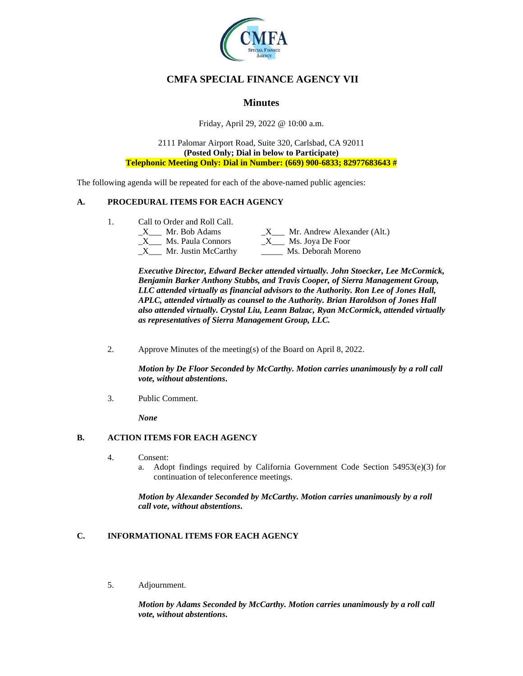

# **CMFA SPECIAL FINANCE AGENCY VII**

# **Minutes**

Friday, April 29, 2022 @ 10:00 a.m.

2111 Palomar Airport Road, Suite 320, Carlsbad, CA 92011 **(Posted Only; Dial in below to Participate) Telephonic Meeting Only: Dial in Number: (669) 900-6833; 82977683643 #**

The following agenda will be repeated for each of the above-named public agencies:

## **A. PROCEDURAL ITEMS FOR EACH AGENCY**

1. Call to Order and Roll Call.

| Mr. Bob Adams          | Mr. Andrew Alexander (Alt.) |
|------------------------|-----------------------------|
| Ms. Paula Connors<br>X | Ms. Joya De Foor            |
| Mr. Justin McCarthy    | Ms. Deborah Moreno          |

*Executive Director, Edward Becker attended virtually. John Stoecker, Lee McCormick, Benjamin Barker Anthony Stubbs, and Travis Cooper, of Sierra Management Group, LLC attended virtually as financial advisors to the Authority. Ron Lee of Jones Hall, APLC, attended virtually as counsel to the Authority. Brian Haroldson of Jones Hall also attended virtually. Crystal Liu, Leann Balzac, Ryan McCormick, attended virtually as representatives of Sierra Management Group, LLC.*

2. Approve Minutes of the meeting(s) of the Board on April 8, 2022.

*Motion by De Floor Seconded by McCarthy. Motion carries unanimously by a roll call vote, without abstentions***.**

3. Public Comment.

*None*

## **B. ACTION ITEMS FOR EACH AGENCY**

- 4. Consent:
	- a. Adopt findings required by California Government Code Section  $54953(e)(3)$  for continuation of teleconference meetings.

*Motion by Alexander Seconded by McCarthy. Motion carries unanimously by a roll call vote, without abstentions***.**

# **C. INFORMATIONAL ITEMS FOR EACH AGENCY**

5. Adjournment.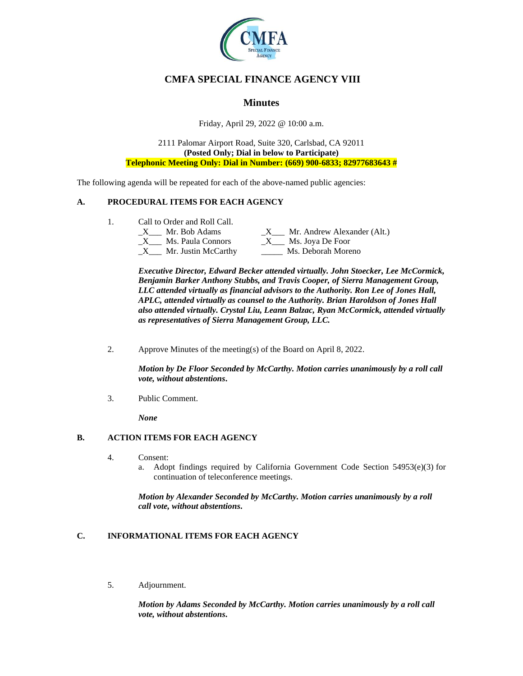

# **CMFA SPECIAL FINANCE AGENCY VIII**

# **Minutes**

Friday, April 29, 2022 @ 10:00 a.m.

2111 Palomar Airport Road, Suite 320, Carlsbad, CA 92011 **(Posted Only; Dial in below to Participate) Telephonic Meeting Only: Dial in Number: (669) 900-6833; 82977683643 #**

The following agenda will be repeated for each of the above-named public agencies:

## **A. PROCEDURAL ITEMS FOR EACH AGENCY**

1. Call to Order and Roll Call.

| Mr. Bob Adams          | Mr. Andrew Alexander (Alt.) |
|------------------------|-----------------------------|
| Ms. Paula Connors<br>X | Ms. Joya De Foor            |
| Mr. Justin McCarthy    | Ms. Deborah Moreno          |

*Executive Director, Edward Becker attended virtually. John Stoecker, Lee McCormick, Benjamin Barker Anthony Stubbs, and Travis Cooper, of Sierra Management Group, LLC attended virtually as financial advisors to the Authority. Ron Lee of Jones Hall, APLC, attended virtually as counsel to the Authority. Brian Haroldson of Jones Hall also attended virtually. Crystal Liu, Leann Balzac, Ryan McCormick, attended virtually as representatives of Sierra Management Group, LLC.*

2. Approve Minutes of the meeting(s) of the Board on April 8, 2022.

*Motion by De Floor Seconded by McCarthy. Motion carries unanimously by a roll call vote, without abstentions***.**

3. Public Comment.

*None*

## **B. ACTION ITEMS FOR EACH AGENCY**

- 4. Consent:
	- a. Adopt findings required by California Government Code Section  $54953(e)(3)$  for continuation of teleconference meetings.

*Motion by Alexander Seconded by McCarthy. Motion carries unanimously by a roll call vote, without abstentions***.**

# **C. INFORMATIONAL ITEMS FOR EACH AGENCY**

5. Adjournment.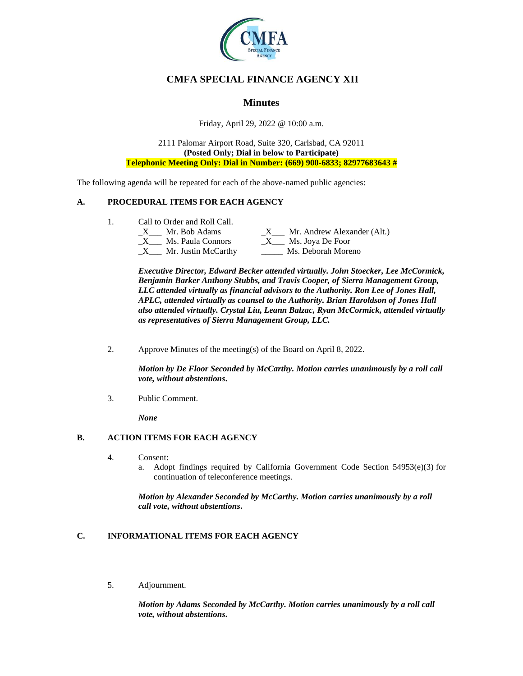

# **CMFA SPECIAL FINANCE AGENCY XII**

# **Minutes**

Friday, April 29, 2022 @ 10:00 a.m.

2111 Palomar Airport Road, Suite 320, Carlsbad, CA 92011 **(Posted Only; Dial in below to Participate) Telephonic Meeting Only: Dial in Number: (669) 900-6833; 82977683643 #**

The following agenda will be repeated for each of the above-named public agencies:

## **A. PROCEDURAL ITEMS FOR EACH AGENCY**

1. Call to Order and Roll Call.

| Mr. Bob Adams          | Mr. Andrew Alexander (Alt.) |
|------------------------|-----------------------------|
| Ms. Paula Connors<br>X | Ms. Joya De Foor            |
| Mr. Justin McCarthy    | Ms. Deborah Moreno          |

*Executive Director, Edward Becker attended virtually. John Stoecker, Lee McCormick, Benjamin Barker Anthony Stubbs, and Travis Cooper, of Sierra Management Group, LLC attended virtually as financial advisors to the Authority. Ron Lee of Jones Hall, APLC, attended virtually as counsel to the Authority. Brian Haroldson of Jones Hall also attended virtually. Crystal Liu, Leann Balzac, Ryan McCormick, attended virtually as representatives of Sierra Management Group, LLC.*

2. Approve Minutes of the meeting(s) of the Board on April 8, 2022.

*Motion by De Floor Seconded by McCarthy. Motion carries unanimously by a roll call vote, without abstentions***.**

3. Public Comment.

*None*

## **B. ACTION ITEMS FOR EACH AGENCY**

- 4. Consent:
	- a. Adopt findings required by California Government Code Section  $54953(e)(3)$  for continuation of teleconference meetings.

*Motion by Alexander Seconded by McCarthy. Motion carries unanimously by a roll call vote, without abstentions***.**

# **C. INFORMATIONAL ITEMS FOR EACH AGENCY**

5. Adjournment.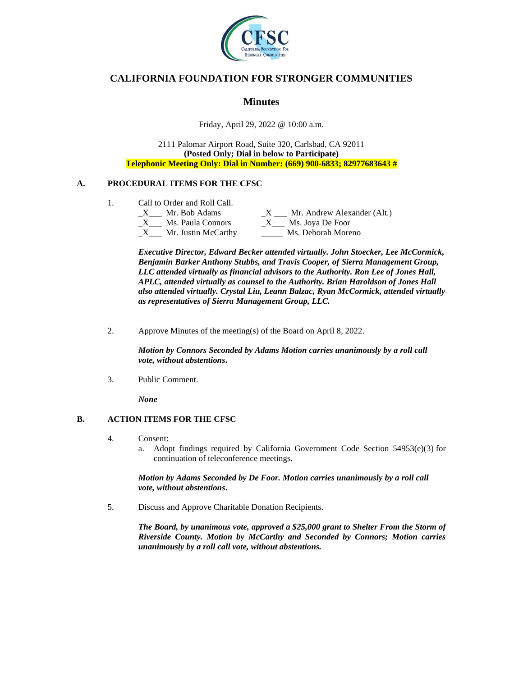

# **CALIFORNIA FOUNDATION FOR STRONGER COMMUNITIES**

## **Minutes**

Friday, April 29, 2022 @ 10:00 a.m.

2111 Palomar Airport Road, Suite 320, Carlsbad, CA 92011 **(Posted Only; Dial in below to Participate) Telephonic Meeting Only: Dial in Number: (669) 900-6833; 82977683643 #**

## **A. PROCEDURAL ITEMS FOR THE CFSC**

- 1. Call to Order and Roll Call.<br>
X<sub>11</sub> Mr. Bob Adams
	- $\_X$   $\_$  Mr. Andrew Alexander (Alt.)  $X$ <sub>\_\_\_</sub> Ms. Paula Connors  $X$ <sub>\_\_\_</sub> Ms. Joya De Foor \_X\_\_\_ Mr. Justin McCarthy \_\_\_\_\_ Ms. Deborah Moreno

*Executive Director, Edward Becker attended virtually. John Stoecker, Lee McCormick, Benjamin Barker Anthony Stubbs, and Travis Cooper, of Sierra Management Group, LLC attended virtually as financial advisors to the Authority. Ron Lee of Jones Hall, APLC, attended virtually as counsel to the Authority. Brian Haroldson of Jones Hall also attended virtually. Crystal Liu, Leann Balzac, Ryan McCormick, attended virtually as representatives of Sierra Management Group, LLC.*

2. Approve Minutes of the meeting(s) of the Board on April 8, 2022.

*Motion by Connors Seconded by Adams Motion carries unanimously by a roll call vote, without abstentions***.**

3. Public Comment.

*None*

#### **B. ACTION ITEMS FOR THE CFSC**

- 4. Consent:
	- a. Adopt findings required by California Government Code Section  $54953(e)(3)$  for continuation of teleconference meetings.

*Motion by Adams Seconded by De Foor. Motion carries unanimously by a roll call vote, without abstentions***.**

5. Discuss and Approve Charitable Donation Recipients.

*The Board, by unanimous vote, approved a \$25,000 grant to Shelter From the Storm of Riverside County. Motion by McCarthy and Seconded by Connors; Motion carries unanimously by a roll call vote, without abstentions.*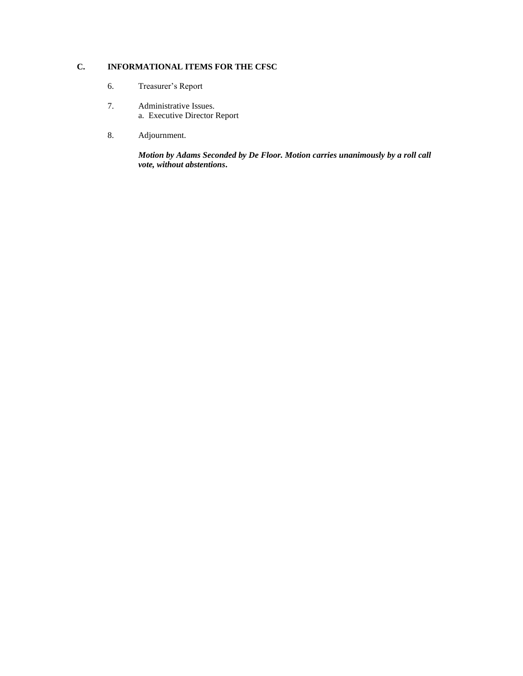# **C. INFORMATIONAL ITEMS FOR THE CFSC**

- 6. Treasurer's Report
- 7. Administrative Issues. a. Executive Director Report
- 8. Adjournment.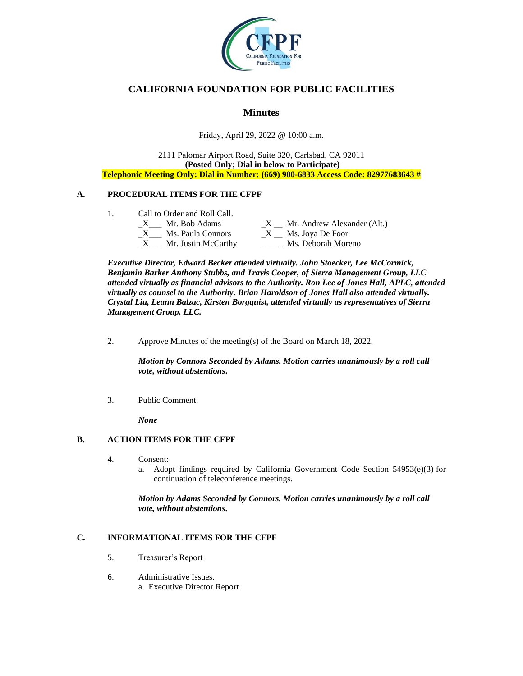

# **CALIFORNIA FOUNDATION FOR PUBLIC FACILITIES**

# **Minutes**

Friday, April 29, 2022 @ 10:00 a.m.

### 2111 Palomar Airport Road, Suite 320, Carlsbad, CA 92011 **(Posted Only; Dial in below to Participate) Telephonic Meeting Only: Dial in Number: (669) 900-6833 Access Code: 82977683643 #**

## **A. PROCEDURAL ITEMS FOR THE CFPF**

- 1. Call to Order and Roll Call.
	- $X$  Mr. Bob Adams  $X$  Mr. Andrew Alexander (Alt.)  $\_X$ <sub>\_\_\_</sub> Ms. Paula Connors  $\_X$   $\_$  Ms. Joya De Foor \_X\_\_\_ Mr. Justin McCarthy \_\_\_\_\_ Ms. Deborah Moreno

*Executive Director, Edward Becker attended virtually. John Stoecker, Lee McCormick, Benjamin Barker Anthony Stubbs, and Travis Cooper, of Sierra Management Group, LLC attended virtually as financial advisors to the Authority. Ron Lee of Jones Hall, APLC, attended virtually as counsel to the Authority. Brian Haroldson of Jones Hall also attended virtually. Crystal Liu, Leann Balzac, Kirsten Borgquist, attended virtually as representatives of Sierra Management Group, LLC.*

2. Approve Minutes of the meeting(s) of the Board on March 18, 2022.

*Motion by Connors Seconded by Adams. Motion carries unanimously by a roll call vote, without abstentions***.**

3. Public Comment.

*None*

## **B. ACTION ITEMS FOR THE CFPF**

- 4. Consent:
	- a. Adopt findings required by California Government Code Section 54953(e)(3) for continuation of teleconference meetings.

*Motion by Adams Seconded by Connors. Motion carries unanimously by a roll call vote, without abstentions***.**

## **C. INFORMATIONAL ITEMS FOR THE CFPF**

- 5. Treasurer's Report
- 6. Administrative Issues. a. Executive Director Report